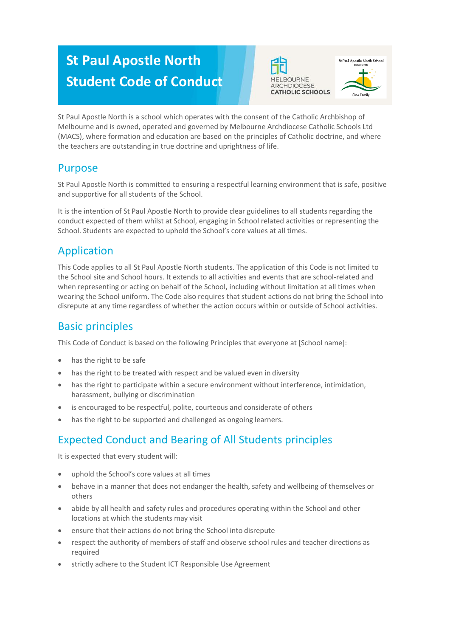# **St Paul Apostle North Student Code of Conduct**





St Paul Apostle North is a school which operates with the consent of the Catholic Archbishop of Melbourne and is owned, operated and governed by Melbourne Archdiocese Catholic Schools Ltd (MACS), where formation and education are based on the principles of Catholic doctrine, and where the teachers are outstanding in true doctrine and uprightness of life.

# Purpose

St Paul Apostle North is committed to ensuring a respectful learning environment that is safe, positive and supportive for all students of the School.

It is the intention of St Paul Apostle North to provide clear guidelines to all students regarding the conduct expected of them whilst at School, engaging in School related activities or representing the School. Students are expected to uphold the School's core values at all times.

# Application

This Code applies to all St Paul Apostle North students. The application of this Code is not limited to the School site and School hours. It extends to all activities and events that are school-related and when representing or acting on behalf of the School, including without limitation at all times when wearing the School uniform. The Code also requires that student actions do not bring the School into disrepute at any time regardless of whether the action occurs within or outside of School activities.

# Basic principles

This Code of Conduct is based on the following Principles that everyone at [School name]:

- has the right to be safe
- has the right to be treated with respect and be valued even in diversity
- has the right to participate within a secure environment without interference, intimidation, harassment, bullying or discrimination
- is encouraged to be respectful, polite, courteous and considerate of others
- has the right to be supported and challenged as ongoing learners.

# Expected Conduct and Bearing of All Students principles

It is expected that every student will:

- uphold the School's core values at all times
- behave in a manner that does not endanger the health, safety and wellbeing of themselves or others
- abide by all health and safety rules and procedures operating within the School and other locations at which the students may visit
- ensure that their actions do not bring the School into disrepute
- respect the authority of members of staff and observe school rules and teacher directions as required
- strictly adhere to the Student ICT Responsible Use Agreement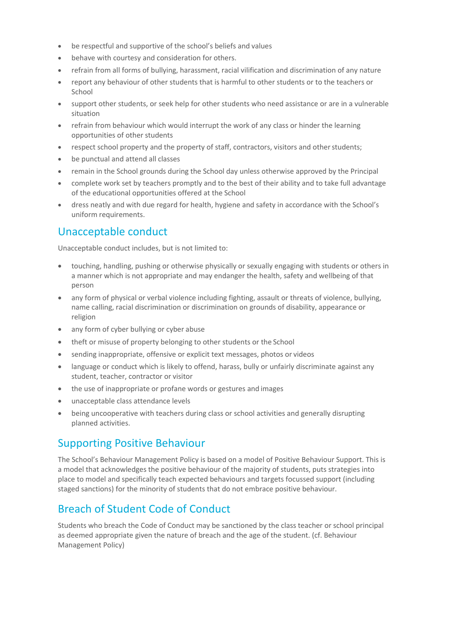- be respectful and supportive of the school's beliefs and values
- behave with courtesy and consideration for others.
- refrain from all forms of bullying, harassment, racial vilification and discrimination of any nature
- report any behaviour of other students that is harmful to other students or to the teachers or School
- support other students, or seek help for other students who need assistance or are in a vulnerable situation
- refrain from behaviour which would interrupt the work of any class or hinder the learning opportunities of other students
- respect school property and the property of staff, contractors, visitors and other students;
- be punctual and attend all classes
- remain in the School grounds during the School day unless otherwise approved by the Principal
- complete work set by teachers promptly and to the best of their ability and to take full advantage of the educational opportunities offered at the School
- dress neatly and with due regard for health, hygiene and safety in accordance with the School's uniform requirements.

### Unacceptable conduct

Unacceptable conduct includes, but is not limited to:

- touching, handling, pushing or otherwise physically or sexually engaging with students or others in a manner which is not appropriate and may endanger the health, safety and wellbeing of that person
- any form of physical or verbal violence including fighting, assault or threats of violence, bullying, name calling, racial discrimination or discrimination on grounds of disability, appearance or religion
- any form of cyber bullying or cyber abuse
- theft or misuse of property belonging to other students or the School
- sending inappropriate, offensive or explicit text messages, photos or videos
- language or conduct which is likely to offend, harass, bully or unfairly discriminate against any student, teacher, contractor or visitor
- the use of inappropriate or profane words or gestures and images
- unacceptable class attendance levels
- being uncooperative with teachers during class or school activities and generally disrupting planned activities.

### Supporting Positive Behaviour

The School's Behaviour Management Policy is based on a model of Positive Behaviour Support. This is a model that acknowledges the positive behaviour of the majority of students, puts strategies into place to model and specifically teach expected behaviours and targets focussed support (including staged sanctions) for the minority of students that do not embrace positive behaviour.

# Breach of Student Code of Conduct

Students who breach the Code of Conduct may be sanctioned by the class teacher or school principal as deemed appropriate given the nature of breach and the age of the student. (cf. Behaviour Management Policy)